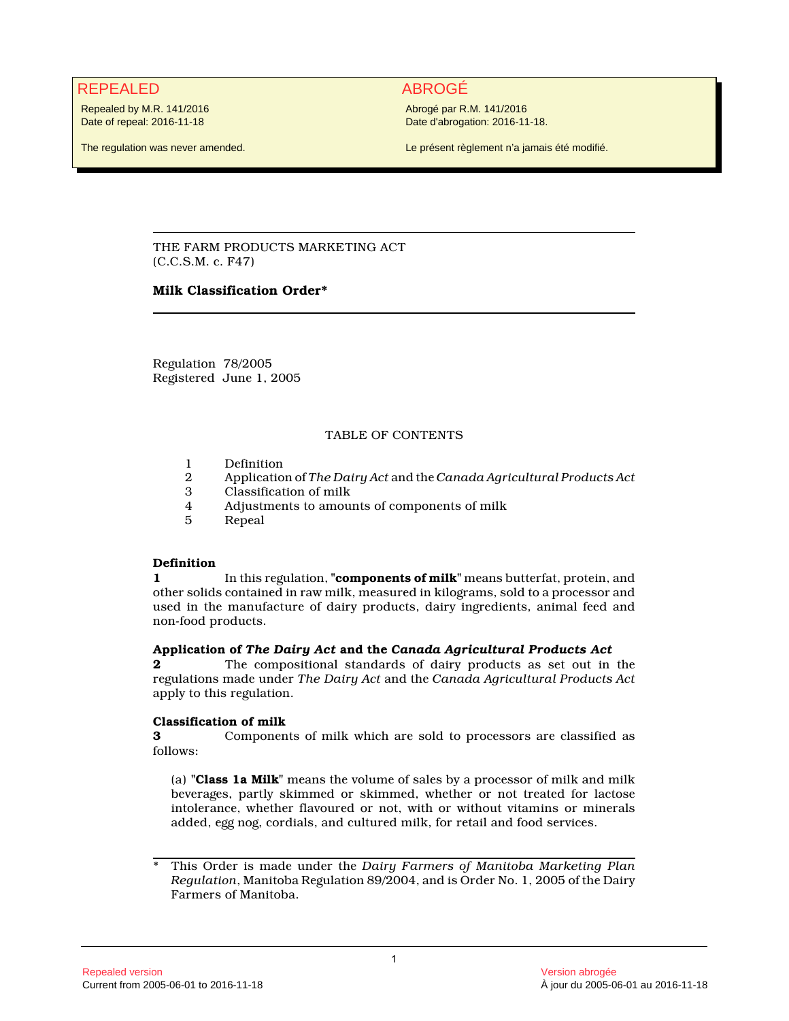## REPEALED ABROGÉ

Repealed by M.R. 141/2016 Date of repeal: 2016-11-18

The regulation was never amended.

Abrogé par R.M. 141/2016 Date d'abrogation: 2016-11-18.

Le présent règlement n'a jamais été modifié.

THE FARM PRODUCTS MARKETING ACT (C.C.S.M. c. F47)

### **Milk Classification Order\***

Regulation 78/2005 Registered June 1, 2005

### TABLE OF CONTENTS

- 1 Definition<br>2 Application
- 2 Application of *The Dairy Act* and the *Canada Agricultural Products Act*
- Classification of milk
- 4 Adjustments to amounts of components of milk
- 5 Repeal

#### **Definition**

**1** In this regulation, **"components of milk"** means butterfat, protein, and other solids contained in raw milk, measured in kilograms, sold to a processor and used in the manufacture of dairy products, dairy ingredients, animal feed and non-food products.

#### **Application of** *The Dairy Act* **and the** *Canada Agricultural Products Act*

**2** The compositional standards of dairy products as set out in the regulations made under *The Dairy Act* and the *Canada Agricultural Products Act* apply to this regulation.

#### **Classification of milk**

**3** Components of milk which are sold to processors are classified as follows:

(a) **"Class 1a Milk"** means the volume of sales by a processor of milk and milk beverages, partly skimmed or skimmed, whether or not treated for lactose intolerance, whether flavoured or not, with or without vitamins or minerals added, egg nog, cordials, and cultured milk, for retail and food services.

<sup>\*</sup> This Order is made under the *Dairy Farmers of Manitoba Marketing Plan Regulation*, Manitoba Regulation 89/2004, and is Order No. 1, 2005 of the Dairy Farmers of Manitoba.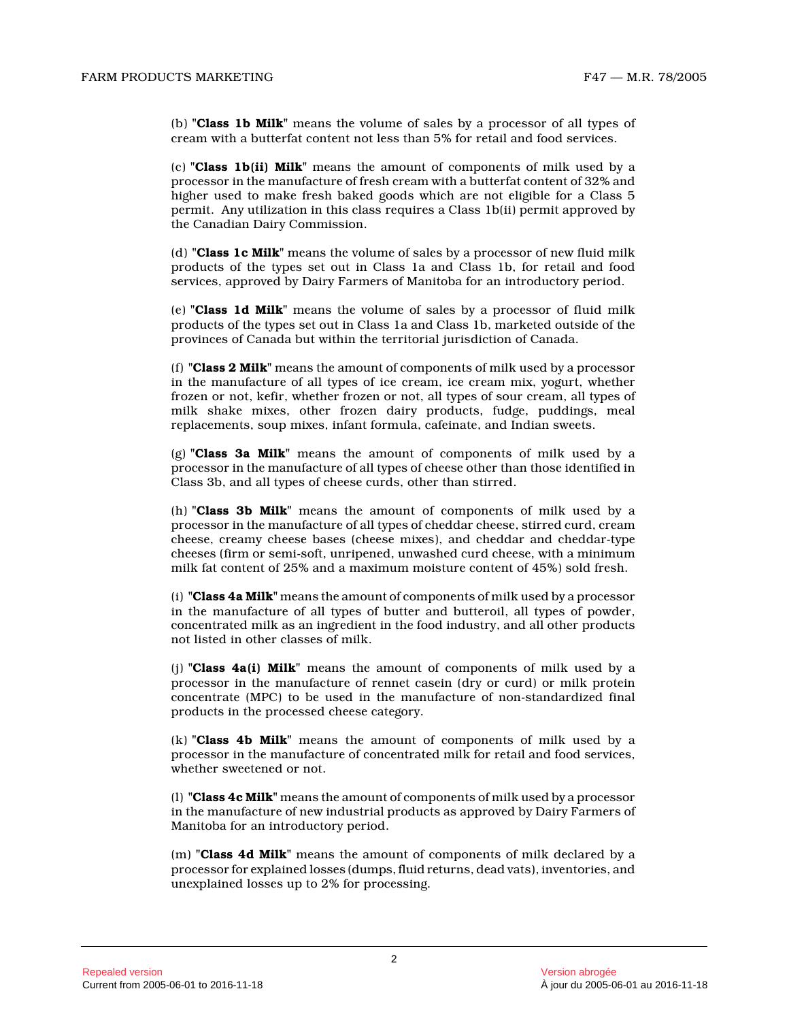(b) **"Class 1b Milk"** means the volume of sales by a processor of all types of cream with a butterfat content not less than 5% for retail and food services.

(c) **"Class 1b(ii) Milk"** means the amount of components of milk used by a processor in the manufacture of fresh cream with a butterfat content of 32% and higher used to make fresh baked goods which are not eligible for a Class 5 permit. Any utilization in this class requires a Class 1b(ii) permit approved by the Canadian Dairy Commission.

(d) **"Class 1c Milk"** means the volume of sales by a processor of new fluid milk products of the types set out in Class 1a and Class 1b, for retail and food services, approved by Dairy Farmers of Manitoba for an introductory period.

(e) **"Class 1d Milk"** means the volume of sales by a processor of fluid milk products of the types set out in Class 1a and Class 1b, marketed outside of the provinces of Canada but within the territorial jurisdiction of Canada.

(f) **"Class 2 Milk"** means the amount of components of milk used by a processor in the manufacture of all types of ice cream, ice cream mix, yogurt, whether frozen or not, kefir, whether frozen or not, all types of sour cream, all types of milk shake mixes, other frozen dairy products, fudge, puddings, meal replacements, soup mixes, infant formula, cafeinate, and Indian sweets.

(g) **"Class 3a Milk"** means the amount of components of milk used by a processor in the manufacture of all types of cheese other than those identified in Class 3b, and all types of cheese curds, other than stirred.

(h) **"Class 3b Milk"** means the amount of components of milk used by a processor in the manufacture of all types of cheddar cheese, stirred curd, cream cheese, creamy cheese bases (cheese mixes), and cheddar and cheddar-type cheeses (firm or semi-soft, unripened, unwashed curd cheese, with a minimum milk fat content of 25% and a maximum moisture content of 45%) sold fresh.

(i) **"Class 4a Milk"** means the amount of components of milk used by a processor in the manufacture of all types of butter and butteroil, all types of powder, concentrated milk as an ingredient in the food industry, and all other products not listed in other classes of milk.

(j) **"Class 4a(i) Milk"** means the amount of components of milk used by a processor in the manufacture of rennet casein (dry or curd) or milk protein concentrate (MPC) to be used in the manufacture of non-standardized final products in the processed cheese category.

(k) **"Class 4b Milk"** means the amount of components of milk used by a processor in the manufacture of concentrated milk for retail and food services, whether sweetened or not.

(l) **"Class 4c Milk"** means the amount of components of milk used by a processor in the manufacture of new industrial products as approved by Dairy Farmers of Manitoba for an introductory period.

(m) **"Class 4d Milk"** means the amount of components of milk declared by a processor for explained losses (dumps, fluid returns, dead vats), inventories, and unexplained losses up to 2% for processing.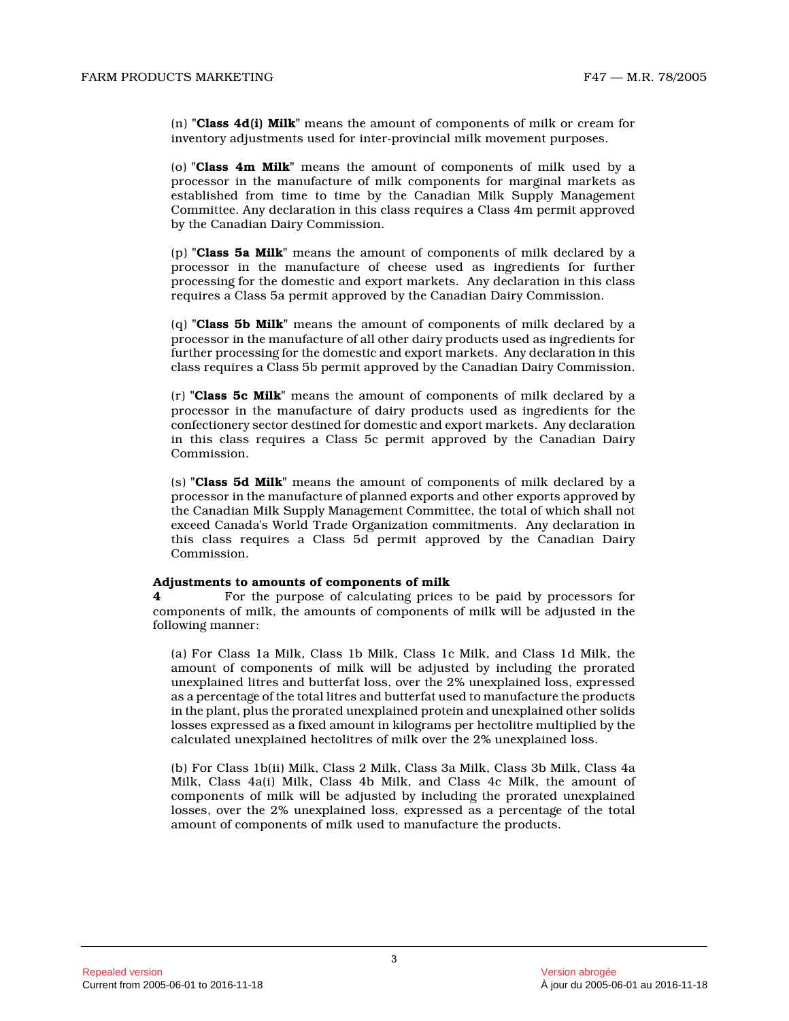(n) **"Class 4d(i) Milk"** means the amount of components of milk or cream fo r inventory adjustments used for inter-provincial milk movement purposes.

(o) **"Class 4m Milk"** means the amount of components of milk used by a processor in the manufacture of milk components for marginal markets as established from time to time by the Canadian Milk Supply Management Committee. Any declaration in this class requires a Class 4m permit approved by the Canadian Dairy Commission.

(p) **"Class 5a Milk"** means the amount of components of milk declared by a processor in the manufacture of cheese used as ingredients for further processing for the domestic and export markets. Any declaration in this class requires a Class 5a permit approved by the Canadian Dairy Commission.

(q) **"Class 5b Milk"** means the amount of components of milk declared by a processor in the manufacture of all other dairy products used as ingredients for further processing for the domestic and export markets. Any declaration in this class requires a Class 5b permit approved by the Canadian Dairy Commission.

(r) **"Class 5c Milk"** means the amount of components of milk declared by a processor in the manufacture of dairy products used as ingredients for the confectionery sector destined for domestic and export markets. Any declaration in this class requires a Class 5c permit approved by the Canadian Dairy Commission.

(s) **"Class 5d Milk"** means the amount of components of milk declared by a processor in the manufacture of planned exports and other exports approved by the Canadian Milk Supply Management Committee, the total of which shall not exceed Canada's World Trade Organization commitments. Any declaration in this class requires a Class 5d permit approved by the Canadian Dairy Commission.

#### **Adjustments to amounts of components of milk**

**4** For the purpose of calculating prices to be paid by processors for components of milk, the amounts of components of milk will be adjusted in the following manner:

(a) For Class 1a Milk, Class 1b Milk, Class 1c Milk, and Class 1d Milk, the amount of components of milk will be adjusted by including the prorated unexplained litres and butterfat loss, over the 2% unexplained loss, expressed as a percentage of the total litres and butterfat used to manufacture the products in the plant, plus the prorated unexplained protein and unexplained other solids losses expressed as a fixed amount in kilograms per hectolitre multiplied by the calculated unexplained hectolitres of milk over the 2% unexplained loss.

(b) For Class 1b(ii) Milk, Class 2 Milk, Class 3a Milk, Class 3b Milk, Class 4a Milk, Class 4a(i) Milk, Class 4b Milk, and Class 4c Milk, the amount of components of milk will be adjusted by including the prorated unexplained losses, over the 2% unexplained loss, expressed as a percentage of the total amount of components of milk used to manufacture the products.